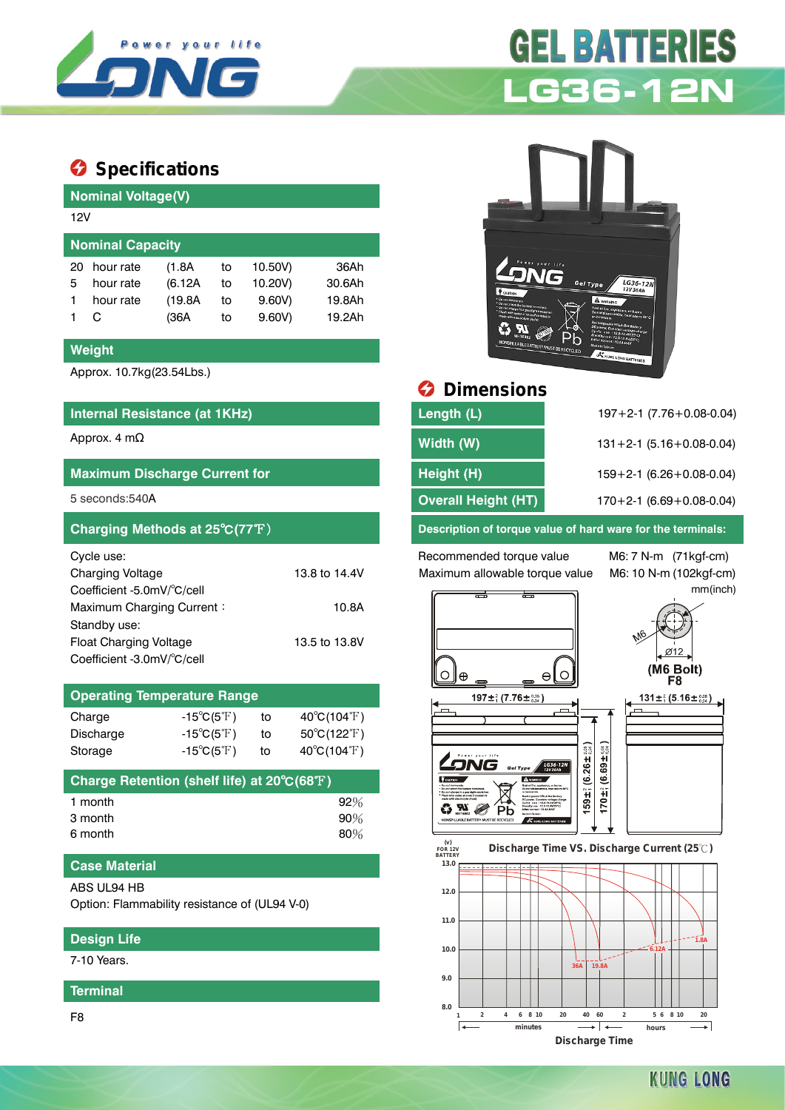

# **Specifications**

| <b>Nominal Voltage(V)</b> |         |    |         |        |  |  |  |
|---------------------------|---------|----|---------|--------|--|--|--|
| 12V                       |         |    |         |        |  |  |  |
| <b>Nominal Capacity</b>   |         |    |         |        |  |  |  |
| hour rate                 | (1.8A)  | to | 10.50V) | 36Ah   |  |  |  |
| hour rate                 | (6.12A) | to | 10.20V) | 30.6Ah |  |  |  |
| hour rate                 | (19.8A) | to | 9.60V   | 19.8Ah |  |  |  |
|                           | (36A    | to | 9.60V   | 19.2Ah |  |  |  |
|                           |         |    |         |        |  |  |  |

#### **Weight**

Approx. 10.7kg(23.54Lbs.)

### **Internal Resistance (at 1KHz) Length (1975-0.09) L**

## **Maximum Discharge Current for <b>Height (H)** 159+2-1 (6.26+1 (6.26+1 (6.26+1 (6.26+1 (6.26+1 (6.26+1 (6.26+1 (6.26+1 (6.26+1 (6.26+1 (6.26+1 (6.26+1 (6.26+1 (6.26+1 (6.26+1 (6.26+1 (6.26+1 (6.26+1 (6.26+1 (6.26+1 (6.26+1 (6

| Cycle use:                 |               |
|----------------------------|---------------|
| <b>Charging Voltage</b>    | 13.8 to 14.4V |
| Coefficient -5.0mV/°C/cell |               |
| Maximum Charging Current:  | 10.8A         |
| Standby use:               |               |
| Float Charging Voltage     | 13.5 to 13.8V |
| Coefficient -3.0mV/°C/cell |               |

#### **Operating Temperature Range**

| Charge           | $-15^{\circ}C(5^{\circ}F)$       | to | $40^{\circ}C(104^{\circ}F)$      |
|------------------|----------------------------------|----|----------------------------------|
| <b>Discharge</b> | $-15^{\circ}C(5^{\circ}F)$       | to | $50^{\circ}$ C(122 $^{\circ}$ F) |
| Storage          | -15 $^{\circ}$ C(5 $^{\circ}$ F) | to | $40^{\circ}$ C(104 $^{\circ}$ F) |

| Charge Retention (shelf life) at 20°C(68°F) |        |
|---------------------------------------------|--------|
| 1 month                                     | $92\%$ |
| 3 month                                     | 90%    |
| 6 month                                     | 80%    |

#### **Case Material**

ABS UL94 HB

Option: Flammability resistance of (UL94 V-0)

#### **Design Life**

7-10 Years.

**Terminal**

F8



**GEL BATTERIES** 



| Internal Resistance (at 1KHz)        | Length (L)                 | $197 + 2 - 1$ (7.76 + 0.08 - 0.04) |
|--------------------------------------|----------------------------|------------------------------------|
| Approx. 4 m $\Omega$                 | Width (W)                  | $131 + 2 - 1$ (5.16 + 0.08 - 0.04) |
| <b>Maximum Discharge Current for</b> | Height (H)                 | $159 + 2 - 1$ (6.26 + 0.08 - 0.04) |
| 5 seconds:540A                       | <b>Overall Height (HT)</b> | $170+2-1$ (6.69 + 0.08-0.04)       |
|                                      |                            |                                    |

**Charging Methods at 25**℃**(77**℉) **Description of torque value of hard ware for the terminals:**

Recommended torque value M6: 7 N-m (71kgf-cm) Maximum allowable torque value M6: 10 N-m (102kgf-cm)

mm(inch)